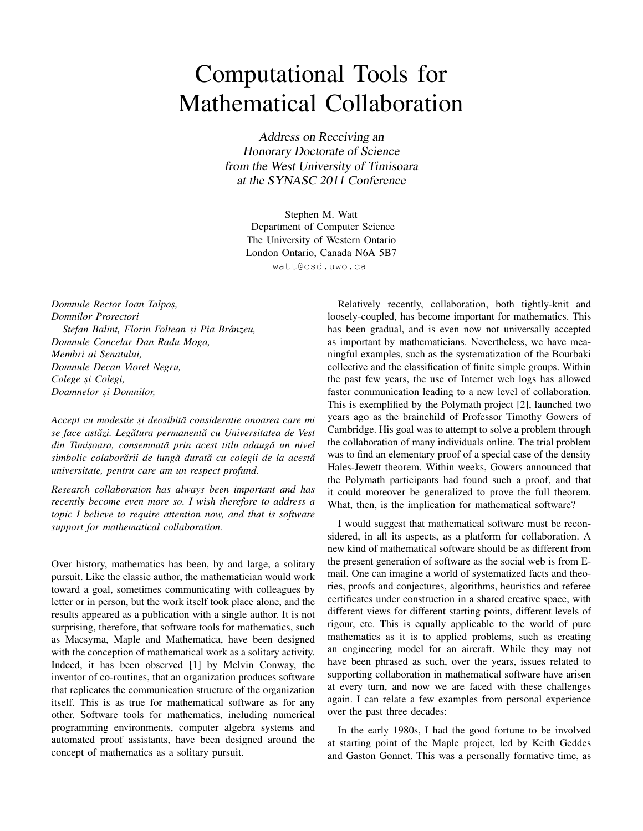## Computational Tools for Mathematical Collaboration

Address on Receiving an Honorary Doctorate of Science from the West University of Timisoara at the SYNASC 2011 Conference

Stephen M. Watt Department of Computer Science The University of Western Ontario London Ontario, Canada N6A 5B7 watt@csd.uwo.ca

*Domnule Rector Ioan Talpos, , Domnilor Prorectori Stefan Balint, Florin Foltean s,i Pia Branzeu, ˆ Domnule Cancelar Dan Radu Moga, Membri ai Senatului, Domnule Decan Viorel Negru, Colege s,i Colegi, Doamnelor s,i Domnilor,*

*Accept cu modestie s,i deosibita considerat ˘ ,ie onoarea care mi se face astazi. Leg ˘ atura permanent ˘ a cu Universitatea de Vest ˘ din Timis, oara, consemnata prin acest titlu adaug ˘ a un nivel ˘*  $s$ *imbolic colaborării de lungă durată cu colegii de la acestă universitate, pentru care am un respect profund.*

*Research collaboration has always been important and has recently become even more so. I wish therefore to address a topic I believe to require attention now, and that is software support for mathematical collaboration.*

Over history, mathematics has been, by and large, a solitary pursuit. Like the classic author, the mathematician would work toward a goal, sometimes communicating with colleagues by letter or in person, but the work itself took place alone, and the results appeared as a publication with a single author. It is not surprising, therefore, that software tools for mathematics, such as Macsyma, Maple and Mathematica, have been designed with the conception of mathematical work as a solitary activity. Indeed, it has been observed [1] by Melvin Conway, the inventor of co-routines, that an organization produces software that replicates the communication structure of the organization itself. This is as true for mathematical software as for any other. Software tools for mathematics, including numerical programming environments, computer algebra systems and automated proof assistants, have been designed around the concept of mathematics as a solitary pursuit.

Relatively recently, collaboration, both tightly-knit and loosely-coupled, has become important for mathematics. This has been gradual, and is even now not universally accepted as important by mathematicians. Nevertheless, we have meaningful examples, such as the systematization of the Bourbaki collective and the classification of finite simple groups. Within the past few years, the use of Internet web logs has allowed faster communication leading to a new level of collaboration. This is exemplified by the Polymath project [2], launched two years ago as the brainchild of Professor Timothy Gowers of Cambridge. His goal was to attempt to solve a problem through the collaboration of many individuals online. The trial problem was to find an elementary proof of a special case of the density Hales-Jewett theorem. Within weeks, Gowers announced that the Polymath participants had found such a proof, and that it could moreover be generalized to prove the full theorem. What, then, is the implication for mathematical software?

I would suggest that mathematical software must be reconsidered, in all its aspects, as a platform for collaboration. A new kind of mathematical software should be as different from the present generation of software as the social web is from Email. One can imagine a world of systematized facts and theories, proofs and conjectures, algorithms, heuristics and referee certificates under construction in a shared creative space, with different views for different starting points, different levels of rigour, etc. This is equally applicable to the world of pure mathematics as it is to applied problems, such as creating an engineering model for an aircraft. While they may not have been phrased as such, over the years, issues related to supporting collaboration in mathematical software have arisen at every turn, and now we are faced with these challenges again. I can relate a few examples from personal experience over the past three decades:

In the early 1980s, I had the good fortune to be involved at starting point of the Maple project, led by Keith Geddes and Gaston Gonnet. This was a personally formative time, as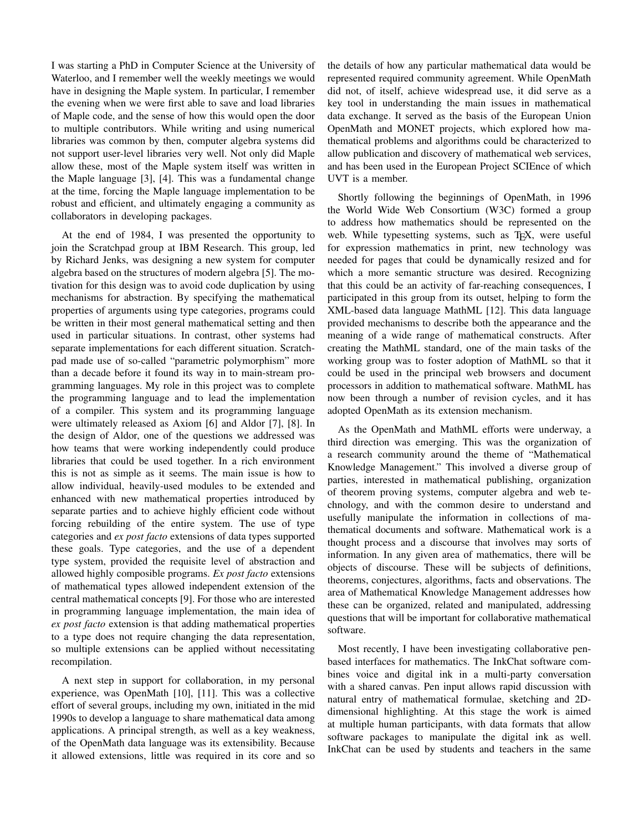I was starting a PhD in Computer Science at the University of Waterloo, and I remember well the weekly meetings we would have in designing the Maple system. In particular, I remember the evening when we were first able to save and load libraries of Maple code, and the sense of how this would open the door to multiple contributors. While writing and using numerical libraries was common by then, computer algebra systems did not support user-level libraries very well. Not only did Maple allow these, most of the Maple system itself was written in the Maple language [3], [4]. This was a fundamental change at the time, forcing the Maple language implementation to be robust and efficient, and ultimately engaging a community as collaborators in developing packages.

At the end of 1984, I was presented the opportunity to join the Scratchpad group at IBM Research. This group, led by Richard Jenks, was designing a new system for computer algebra based on the structures of modern algebra [5]. The motivation for this design was to avoid code duplication by using mechanisms for abstraction. By specifying the mathematical properties of arguments using type categories, programs could be written in their most general mathematical setting and then used in particular situations. In contrast, other systems had separate implementations for each different situation. Scratchpad made use of so-called "parametric polymorphism" more than a decade before it found its way in to main-stream programming languages. My role in this project was to complete the programming language and to lead the implementation of a compiler. This system and its programming language were ultimately released as Axiom [6] and Aldor [7], [8]. In the design of Aldor, one of the questions we addressed was how teams that were working independently could produce libraries that could be used together. In a rich environment this is not as simple as it seems. The main issue is how to allow individual, heavily-used modules to be extended and enhanced with new mathematical properties introduced by separate parties and to achieve highly efficient code without forcing rebuilding of the entire system. The use of type categories and *ex post facto* extensions of data types supported these goals. Type categories, and the use of a dependent type system, provided the requisite level of abstraction and allowed highly composible programs. *Ex post facto* extensions of mathematical types allowed independent extension of the central mathematical concepts [9]. For those who are interested in programming language implementation, the main idea of *ex post facto* extension is that adding mathematical properties to a type does not require changing the data representation, so multiple extensions can be applied without necessitating recompilation.

A next step in support for collaboration, in my personal experience, was OpenMath [10], [11]. This was a collective effort of several groups, including my own, initiated in the mid 1990s to develop a language to share mathematical data among applications. A principal strength, as well as a key weakness, of the OpenMath data language was its extensibility. Because it allowed extensions, little was required in its core and so the details of how any particular mathematical data would be represented required community agreement. While OpenMath did not, of itself, achieve widespread use, it did serve as a key tool in understanding the main issues in mathematical data exchange. It served as the basis of the European Union OpenMath and MONET projects, which explored how mathematical problems and algorithms could be characterized to allow publication and discovery of mathematical web services, and has been used in the European Project SCIEnce of which UVT is a member.

Shortly following the beginnings of OpenMath, in 1996 the World Wide Web Consortium (W3C) formed a group to address how mathematics should be represented on the web. While typesetting systems, such as T<sub>E</sub>X, were useful for expression mathematics in print, new technology was needed for pages that could be dynamically resized and for which a more semantic structure was desired. Recognizing that this could be an activity of far-reaching consequences, I participated in this group from its outset, helping to form the XML-based data language MathML [12]. This data language provided mechanisms to describe both the appearance and the meaning of a wide range of mathematical constructs. After creating the MathML standard, one of the main tasks of the working group was to foster adoption of MathML so that it could be used in the principal web browsers and document processors in addition to mathematical software. MathML has now been through a number of revision cycles, and it has adopted OpenMath as its extension mechanism.

As the OpenMath and MathML efforts were underway, a third direction was emerging. This was the organization of a research community around the theme of "Mathematical Knowledge Management." This involved a diverse group of parties, interested in mathematical publishing, organization of theorem proving systems, computer algebra and web technology, and with the common desire to understand and usefully manipulate the information in collections of mathematical documents and software. Mathematical work is a thought process and a discourse that involves may sorts of information. In any given area of mathematics, there will be objects of discourse. These will be subjects of definitions, theorems, conjectures, algorithms, facts and observations. The area of Mathematical Knowledge Management addresses how these can be organized, related and manipulated, addressing questions that will be important for collaborative mathematical software.

Most recently, I have been investigating collaborative penbased interfaces for mathematics. The InkChat software combines voice and digital ink in a multi-party conversation with a shared canvas. Pen input allows rapid discussion with natural entry of mathematical formulae, sketching and 2Ddimensional highlighting. At this stage the work is aimed at multiple human participants, with data formats that allow software packages to manipulate the digital ink as well. InkChat can be used by students and teachers in the same